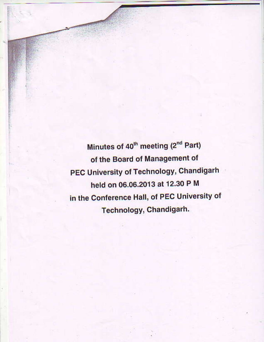Minutes of 40<sup>th</sup> meeting (2<sup>nd</sup> Part) of the Board of Management of **PEC University of Technology, Chandigarh** held on 06.06.2013 at 12.30 P M in the Conference Hall, of PEC University of Technology, Chandigarh.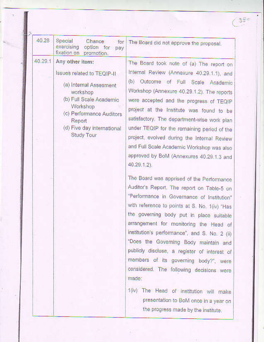| 40.28   | Special<br>Chance<br>for<br>exercising<br>option for<br>pay<br>fixation on<br>promotion.                                                                                                                     | The Board did not approve the proposal.                                                                                                                                                                                                                                                                                                                                                                                                                                                                                                                                                                                                                                                                                                                                                                                                                                                                                                                                                                                                          |
|---------|--------------------------------------------------------------------------------------------------------------------------------------------------------------------------------------------------------------|--------------------------------------------------------------------------------------------------------------------------------------------------------------------------------------------------------------------------------------------------------------------------------------------------------------------------------------------------------------------------------------------------------------------------------------------------------------------------------------------------------------------------------------------------------------------------------------------------------------------------------------------------------------------------------------------------------------------------------------------------------------------------------------------------------------------------------------------------------------------------------------------------------------------------------------------------------------------------------------------------------------------------------------------------|
| 40.29.1 | Any other item:<br>Issues related to TEQIP-II<br>(a) Internal Assesment<br>workshop<br>(b) Full Scale Academic<br>Workshop<br>(c) Performance Auditors<br>Report<br>(d) Five day international<br>Study Tour | The Board took note of (a) The report on<br>Internal Review (Annexure 40.29.1.1), and<br>(b)<br>Outcome of Full Scale Academic<br>Workshop (Annexure 40.29.1.2). The reports<br>were accepted and the progress of TEQIP<br>project at the Institute was found to be<br>satisfactory. The department-wise work plan<br>under TEQIP for the remaining period of the<br>project, evolved during the Internal Review<br>and Full Scale Academic Workshop was also<br>approved by BoM (Annexures 40.29.1.3 and<br>40.29.1.2).<br>The Board was apprised of the Performance<br>Auditor's Report. The report on Table-5 on<br>"Performance in Governance of Institution"<br>with reference to points at S. No. 1(iv) "Has<br>the governing body put in place suitable<br>arrangement for monitoring the Head of<br>institution's performance", and S. No. 2 (ii)<br>"Does the Governing Body maintain and<br>publicly disclose, a register of interest of<br>members of its governing body?", were<br>considered. The following decisions were<br>made: |
|         |                                                                                                                                                                                                              | 1(iv) The Head of institution will make<br>presentation to BoM once in a year on<br>the progress made by the institute.                                                                                                                                                                                                                                                                                                                                                                                                                                                                                                                                                                                                                                                                                                                                                                                                                                                                                                                          |

19

o.

 $\left(3\right.^{\circ}_{\circ}$ 

×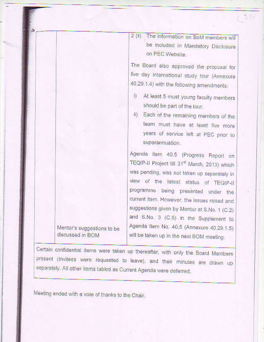2 (ii) The information on BoM members will be included in Mandatory Disclosure on PEC Website.

The Board also approved the proposal for five day international study tour (Annexure 40.29.1.4) with the following amendments:

- i) At least 5 must young faculty members should be part of the tour.
- ii) Each of the remaining members of the team must have at least five more years of service left at PEC prior to superannuation.

Agenda item 40.5 (Progress Report on TEQIP-II Project till 31st March, 2013) which was pending, was not taken up separately in view of the latest status of TEQIP-II programme being presented under the current item. However, the issues raised and suggestions given by Mentor at S.No. 1 (C.2) and S.No. 3 (C.5) in the Supplement to Agenda Item No. 40.5 (Annexure 40.29.1.5) will be taken up in the next BOM meeting.

Mentor's suggestions to be discussed in BOM

Certain confidential items were taken up thereafter, with only the Board Members present (Invitees were requested to leave), and their minutes are drawn up separately. All other items tabled as Current Agenda were deferred.

Meeting ended with a vote of thanks to the Chair.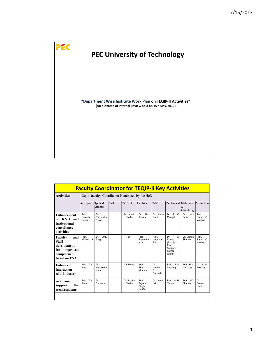

|                                                                                                | <b>Faculty Coordinator for TEQIP-II Key Activities</b><br>Deptt. faculty Coordinator Nominated by the HoD |                           |       |                             |                                      |                                 |                                                                                     |                       |                              |
|------------------------------------------------------------------------------------------------|-----------------------------------------------------------------------------------------------------------|---------------------------|-------|-----------------------------|--------------------------------------|---------------------------------|-------------------------------------------------------------------------------------|-----------------------|------------------------------|
| <b>Activities</b>                                                                              |                                                                                                           |                           |       |                             |                                      |                                 |                                                                                     |                       |                              |
|                                                                                                | Aerospace Applied                                                                                         | Science                   | Civil | <b>CSE &amp; I.T</b>        | Electrical                           | <b>E&amp;EC</b>                 | Mechanical Materials                                                                | &<br>Metallurgy       | Production                   |
| <b>Enhancement</b><br>of R&D and<br>institutional<br>consultancy<br>activities                 | Prof.<br>Rakesh<br>Kumar                                                                                  | Dr.<br>Satyendra<br>Singh |       | Dr. rajesh<br><b>Bhatia</b> | Tilak<br>Dr.<br>Thakur               | Dr. Amita<br>Soni               | Dr. S. K.<br>Mangal                                                                 | Dr.<br>Uma<br>Batra   | Prof.<br>Rahul O.<br>Vaishya |
| Faculty<br>and<br><b>Staff</b><br>development<br>improved<br>for<br>competence<br>based on TNA | Prof.<br>Kishori Lal                                                                                      | Anju<br>Dr.<br>Singla     |       | $-dn-$                      | Prof.<br>Raminder<br>Kaur            | Prof.<br>Nagendra<br>Sah        | A <sub>1</sub><br>Dr.<br>Manna<br>(Faculty)<br>Prof.<br>Sanjeev<br>Kumar<br>(Staff) | Dr. Mamta<br>Sharma   | Prof.<br>Rahul O.<br>Vaishya |
| <b>Enhanced</b><br>interaction<br>with Industry                                                | Prof. T.K.<br>Jindal                                                                                      | Dr.<br>Harminder<br>Kaur  |       | Dr. Divya                   | Prof.<br>Rintu<br>Khanna             | Dr.<br>Neelam.<br>R.<br>Prakash | Prof. P.S.<br>Satsangi                                                              | Prof. R.K.<br>Mahajan | Dr. R. M.<br>Belokar         |
| <b>Academic</b><br>for<br>support<br>weak students                                             | Prof. T.K.<br>Jindal                                                                                      | Dr.<br>Sucheta            |       | Dr. Rajesh<br><b>Bhatia</b> | Prof.<br>Tajinder<br>Singh<br>Saggar | Dr. Neelu<br>Jain               | Prof. Ankit<br>Yadav                                                                | Prof. J.D.<br>Sharma  | Dr.<br>Suman<br>Kant         |
|                                                                                                |                                                                                                           |                           |       |                             |                                      |                                 |                                                                                     |                       |                              |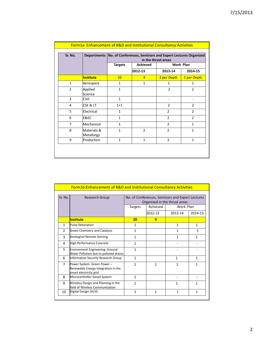| Sr. No.        |                           |                | Departments   No. of Conferences, Seminars and Expert Lectures Organized | in the thrust areas |                |
|----------------|---------------------------|----------------|--------------------------------------------------------------------------|---------------------|----------------|
|                |                           | <b>Targets</b> | <b>Achieved</b>                                                          |                     | Work Plan      |
|                |                           |                | 2012-13                                                                  | 2013-14             | 2014-15        |
|                | <b>Institute</b>          | 10             | $\overline{4}$                                                           | 2 per Deptt.        | 1 per Deptt.   |
| $\mathbf{1}$   | Aerospace                 | $\mathbf{1}$   | $\mathbf{1}$                                                             | $\mathbf{1}$        | 1              |
| $\overline{2}$ | Applied<br>Science        | $\mathbf{1}$   |                                                                          | $\mathfrak{p}$      | $\overline{2}$ |
| 3              | Civil                     | $\mathbf{1}$   |                                                                          |                     |                |
| 4              | <b>CSE &amp; I.T</b>      | $1 + 1$        |                                                                          | $\overline{2}$      | $\overline{2}$ |
| 5              | Electrical                | $\mathbf{1}$   |                                                                          | $\overline{2}$      | $\overline{2}$ |
| 6              | E&EC                      | $\mathbf{1}$   |                                                                          | $\overline{2}$      | $\overline{2}$ |
| $\overline{7}$ | Mechanical                | $\mathbf{1}$   |                                                                          | $\overline{2}$      | $\mathbf{1}$   |
| 8              | Materials &<br>Metallurgy | $\mathbf{1}$   | $\overline{2}$                                                           | $\overline{2}$      | $\mathbf{1}$   |
| 9              | Production                | $\mathbf{1}$   | $\mathbf{1}$                                                             | $\overline{2}$      | $\mathbf{1}$   |

|                | <b>Form1b:Enhancement of R&amp;D and Institutional Consultancy Activities</b>                |                                                                                   |          |              |              |  |
|----------------|----------------------------------------------------------------------------------------------|-----------------------------------------------------------------------------------|----------|--------------|--------------|--|
| Sr. No.        | <b>Research Group</b>                                                                        | No. of Conferences, Seminars and Expert Lectures<br>Organized in the thrust areas |          |              |              |  |
|                |                                                                                              | <b>Targets</b>                                                                    | Achieved | Work Plan    |              |  |
|                |                                                                                              |                                                                                   | 2012-13  | 2013-14      | 2014-15      |  |
|                | <b>Institute</b>                                                                             | 20                                                                                | 9        |              |              |  |
| 1              | <b>Pulse Detonation</b>                                                                      | $\mathbf{1}$                                                                      |          | $\mathbf{1}$ | $\mathbf{1}$ |  |
| $\overline{2}$ | Green Chemistry and Catalysis                                                                | $\mathbf{1}$                                                                      |          | $\mathbf{1}$ | 1            |  |
| 3              | <b>Geological Remote Sensing</b>                                                             | $\mathbf{1}$                                                                      |          | $\mathbf{1}$ | 1            |  |
| 4              | High Performance Concrete                                                                    | $\mathbf{1}$                                                                      |          |              |              |  |
| 5              | Environment Engineering: Ground<br>Water Pollution due to polluted drains                    | $\mathbf{1}$                                                                      |          |              |              |  |
| 6              | Information Security Research Group                                                          | $\mathbf{1}$                                                                      |          | 1            | $\mathbf{1}$ |  |
| $\overline{7}$ | Power System: Green Power -<br>Renewable Energy Integration in the<br>smart electricity grid | 1                                                                                 | 1        | 1            | 1            |  |
| 8              | Microcontroller based System                                                                 | $\mathbf{1}$                                                                      |          |              |              |  |
| q              | Wireless Design and Planning in the<br>field of Wireless Communication                       | $\mathbf{1}$                                                                      |          | 1            | 1            |  |
| 10             | Digital Design (VLSI)                                                                        | $\mathbf{1}$                                                                      | 1        | $\mathbf{1}$ | $\mathbf{1}$ |  |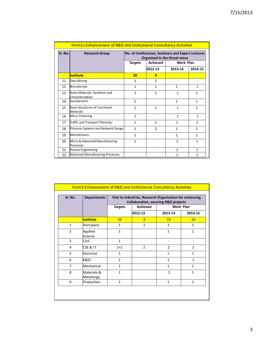|         | <b>Form1c:Enhancement of R&amp;D and Institutional Consultancy Activities</b> |                |                 |                                                                                   |              |
|---------|-------------------------------------------------------------------------------|----------------|-----------------|-----------------------------------------------------------------------------------|--------------|
| Sr. No. | <b>Research Group</b>                                                         |                |                 | No. of Conferences, Seminars and Expert Lectures<br>Organized in the thrust areas |              |
|         |                                                                               | <b>Targets</b> | <b>Achieved</b> | Work Plan                                                                         |              |
|         |                                                                               |                | 2012-13         | 2013-14                                                                           | 2014-15      |
|         | <b>Institute</b>                                                              | 20             | 9               |                                                                                   |              |
| 11      | Data Mining                                                                   | $\mathbf{1}$   | 1               |                                                                                   |              |
| 12      | Biomaterials                                                                  | $\mathbf{1}$   | $\mathbf{1}$    | $\mathbf{1}$                                                                      | $\mathbf{1}$ |
| 13      | Nano Materials: Synthesis and<br>Characterization                             | 1              | 1               | 1                                                                                 | 1            |
| 14      | Aerodynamic                                                                   | $\mathbf{1}$   |                 | $\mathbf{1}$                                                                      | $\mathbf{1}$ |
| 15      | Nano Structures of Functional<br><b>Materials</b>                             | $\mathbf{1}$   | $\mathbf{1}$    | $\mathbf{1}$                                                                      | $\mathbf{1}$ |
| 16      | <b>Micro Financing</b>                                                        | $\mathbf{1}$   |                 | $\mathbf{1}$                                                                      | $\mathbf{1}$ |
| 17      | Traffic and Transport Planning                                                | $\mathbf{1}$   | $\mathbf{1}$    | $\mathbf{1}$                                                                      | $\mathbf{1}$ |
| 18      | Photonic Systems and Network Design                                           | $\mathbf{1}$   | $\mathcal{P}$   | $\mathbf{1}$                                                                      | 1            |
| 19      | <b>Mechatronics</b>                                                           | 1              |                 | $\mathbf{1}$                                                                      | $\mathbf{1}$ |
| 20      | Micro & Advanced Manufacturing<br>Processes                                   | 1              |                 | $\mathbf{1}$                                                                      | $\mathbf{1}$ |
| 21      | Human Engineering                                                             |                |                 | $\mathbf{1}$                                                                      | $\mathbf{1}$ |
| 22      | <b>Advanced Manufacturing Processes</b>                                       |                |                 | 1                                                                                 | $\mathbf{1}$ |

| Sr. No.        | <b>Departments</b>        |                | Visit to Industries, Research Organization for enhancing<br><b>Collaboration, securing R&amp;D projects</b> |                 |                |
|----------------|---------------------------|----------------|-------------------------------------------------------------------------------------------------------------|-----------------|----------------|
|                |                           | <b>Targets</b> | <b>Achieved</b>                                                                                             |                 | Work Plan      |
|                |                           |                | 2012-13                                                                                                     | 2013-14         | 2014-15        |
|                | <b>Institute</b>          | 10             | $\overline{3}$                                                                                              | 10 <sup>°</sup> | 10             |
| $\mathbf{1}$   | Aerospace                 | $\mathbf{1}$   | $\mathbf{1}$                                                                                                | $\mathbf{1}$    | $\mathbf{1}$   |
| $\overline{2}$ | Applied<br>Science        | $\mathbf{1}$   |                                                                                                             | $\mathbf{1}$    | $\mathbf{1}$   |
| 3              | Civil                     | $\mathbf{1}$   |                                                                                                             |                 |                |
| 4              | CSE & I.T                 | $1+1$          | $\overline{2}$                                                                                              | $\overline{2}$  | $\overline{2}$ |
| 5              | Electrical                | $\mathbf{1}$   |                                                                                                             | $\mathbf{1}$    | 1              |
| 6              | E&EC                      | $\mathbf{1}$   |                                                                                                             | 1               | $\mathbf{1}$   |
| $\overline{7}$ | Mechanical                | $\mathbf{1}$   |                                                                                                             | $\mathbf{1}$    | $\mathbf{1}$   |
| 8              | Materials &<br>Metallurgy | $\mathbf{1}$   |                                                                                                             | $\overline{2}$  | $\mathbf{1}$   |
| 9              | Production                | $\mathbf{1}$   |                                                                                                             | $\mathbf{1}$    | $\mathbf{1}$   |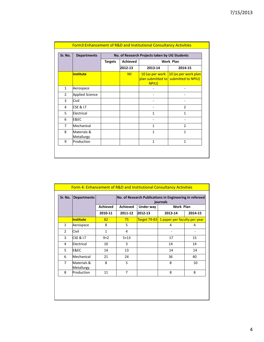| Sr. No.        | <b>Departments</b>        |                | No. of Research Projects taken by UG Students |              |                                                                              |  |  |  |
|----------------|---------------------------|----------------|-----------------------------------------------|--------------|------------------------------------------------------------------------------|--|--|--|
|                |                           | <b>Targets</b> | <b>Achieved</b>                               |              | Work Plan                                                                    |  |  |  |
|                |                           |                | 2012-13                                       | 2013-14      | 2014-15                                                                      |  |  |  |
|                | <b>Institute</b>          |                | <b>Nil</b>                                    | NPIU)        | 10 (as per work 10 (as per work plan<br>plan submitted to submitted to NPIU) |  |  |  |
| $\mathbf{1}$   | Aerospace                 |                |                                               |              |                                                                              |  |  |  |
| $\overline{2}$ | <b>Applied Science</b>    |                |                                               |              |                                                                              |  |  |  |
| 3              | Civil                     |                |                                               |              |                                                                              |  |  |  |
| 4              | <b>CSE &amp; I.T</b>      |                |                                               |              | $\overline{2}$                                                               |  |  |  |
| 5              | Electrical                |                |                                               | 1            | $\mathbf{1}$                                                                 |  |  |  |
| 6              | E&EC                      |                |                                               |              |                                                                              |  |  |  |
| 7              | Mechanical                |                |                                               | 1            | $\mathcal{P}$                                                                |  |  |  |
| 8              | Materials &<br>Metallurgy |                |                                               | $\mathbf{1}$ | $\mathbf{1}$                                                                 |  |  |  |
| 9              | Production                |                |                                               | $\mathbf{1}$ | $\mathbf{1}$                                                                 |  |  |  |

| Sr. No.        | <b>Departments</b>        |                 | No. of Research Publications in Engineering in refereed<br>journals |           |                                           |         |  |  |  |
|----------------|---------------------------|-----------------|---------------------------------------------------------------------|-----------|-------------------------------------------|---------|--|--|--|
|                |                           | <b>Achieved</b> | <b>Achieved</b>                                                     | Under way | Work Plan                                 |         |  |  |  |
|                |                           | 2010-11         | 2011-12                                                             | 2012-13   | 2013-14                                   | 2014-15 |  |  |  |
|                | <b>Institute</b>          | 82              | 75                                                                  |           | Target 79-83 1 paper per faculty per year |         |  |  |  |
| $\mathbf{1}$   | Aerospace                 | 8               | 5.                                                                  |           | 4                                         | 4       |  |  |  |
| $\mathcal{P}$  | Civil                     | 1               | 4                                                                   |           |                                           |         |  |  |  |
| 3              | <b>CSE &amp; I.T</b>      | $9 + 2$         | $5 + 13$                                                            |           | 17                                        | 15      |  |  |  |
| 4              | Electrical                | 10              | 3                                                                   |           | 14                                        | 14      |  |  |  |
| 5              | E&EC                      | 14              | 13                                                                  |           | 14                                        | 14      |  |  |  |
| 6              | Mechanical                | 21              | 24                                                                  |           | 36                                        | 40      |  |  |  |
| $\overline{7}$ | Materials &<br>Metallurgy | 8               | 5                                                                   |           | 8                                         | 10      |  |  |  |
| 8              | Production                | 11              | $\overline{7}$                                                      |           | 8                                         | 8       |  |  |  |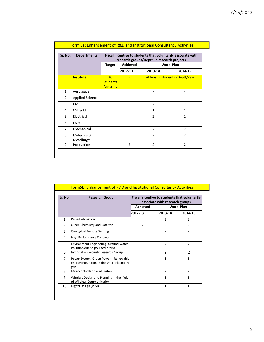| Sr. No.        | <b>Departments</b>        |                                   |                 | research groups/Deptt in research projects | Fiscal incentive to students that voluntarily associate with |
|----------------|---------------------------|-----------------------------------|-----------------|--------------------------------------------|--------------------------------------------------------------|
|                |                           | <b>Target</b>                     | <b>Achieved</b> |                                            | Work Plan                                                    |
|                |                           |                                   | 2012-13         | 2013-14                                    | 2014-15                                                      |
|                | <b>Institute</b>          | 20<br><b>Students</b><br>Annually | 5               |                                            | At least 2 students / Deptt/Year                             |
| $\mathbf{1}$   | Aerospace                 |                                   |                 | $\overline{\phantom{0}}$                   |                                                              |
| $\overline{2}$ | <b>Applied Science</b>    |                                   |                 |                                            |                                                              |
| 3              | Civil                     |                                   |                 | 7                                          | 7                                                            |
| 4              | CSE & I.T                 |                                   |                 | $\mathbf{1}$                               | $\mathbf{1}$                                                 |
| 5              | Electrical                |                                   |                 | $\mathfrak{p}$                             | $\mathfrak{p}$                                               |
| 6              | E&EC                      |                                   |                 |                                            |                                                              |
| $\overline{7}$ | Mechanical                |                                   |                 | $\mathcal{P}$                              | $\mathfrak{p}$                                               |
| 8              | Materials &<br>Metallurgy |                                   |                 | $\overline{2}$                             | $\overline{2}$                                               |
| 9              | Production                |                                   | $\overline{2}$  | $\overline{2}$                             | $\overline{2}$                                               |

| Sr. No.        | <b>Research Group</b>                                                                        |                 | associate with research groups | Fiscal incentive to students that voluntarily |
|----------------|----------------------------------------------------------------------------------------------|-----------------|--------------------------------|-----------------------------------------------|
|                |                                                                                              | <b>Achieved</b> |                                | Work Plan                                     |
|                |                                                                                              | 2012-13         | 2013-14                        | 2014-15                                       |
| $\mathbf{1}$   | Pulse Detonation                                                                             |                 | 2                              | 2                                             |
| 2              | Green Chemistry and Catalysis                                                                | $\mathfrak{p}$  | $\mathfrak{p}$                 | $\mathfrak{p}$                                |
| 3              | <b>Geological Remote Sensing</b>                                                             |                 |                                |                                               |
| 4              | High Performance Concrete                                                                    |                 |                                |                                               |
| 5              | Environment Engineering: Ground Water<br>Pollution due to polluted drains                    |                 | 7                              | 7                                             |
| 6              | Information Security Research Group                                                          |                 | $\overline{2}$                 | $\overline{2}$                                |
| $\overline{7}$ | Power System: Green Power - Renewable<br>Energy Integration in the smart electricity<br>grid |                 | $\mathbf{1}$                   | 1                                             |
| 8              | Microcontroller based System                                                                 |                 |                                |                                               |
| 9              | Wireless Design and Planning in the field<br>of Wireless Communication                       |                 | $\mathbf{1}$                   | 1                                             |
| 10             | Digital Design (VLSI)                                                                        |                 | $\mathbf{1}$                   | 1                                             |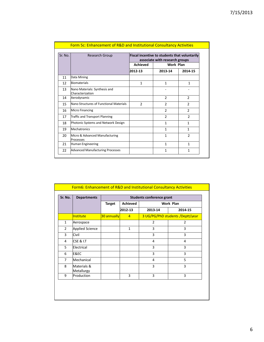|         | <b>Form 5c: Enhancement of R&amp;D and Institutional Consultancy Activities</b> |                 |                                                                                        |                |
|---------|---------------------------------------------------------------------------------|-----------------|----------------------------------------------------------------------------------------|----------------|
| Sr. No. | <b>Research Group</b>                                                           |                 | <b>Fiscal incentive to students that voluntarily</b><br>associate with research groups |                |
|         |                                                                                 | <b>Achieved</b> | Work Plan                                                                              |                |
|         |                                                                                 | 2012-13         | 2013-14                                                                                | 2014-15        |
| 11      | Data Mining                                                                     |                 |                                                                                        |                |
| 12      | Biomaterials                                                                    | $\mathbf{1}$    | $\mathbf{1}$                                                                           | $\mathbf{1}$   |
| 13      | Nano Materials: Synthesis and<br>Characterization                               |                 |                                                                                        |                |
| 14      | Aerodynamic                                                                     |                 | 2                                                                                      | 2              |
| 15      | Nano Structures of Eunctional Materials                                         | $\mathfrak{p}$  | $\mathcal{P}$                                                                          | $\mathfrak{p}$ |
| 16      | <b>Micro Financing</b>                                                          |                 | $\mathcal{P}$                                                                          | $\mathcal{P}$  |
| 17      | Traffic and Transport Planning                                                  |                 | $\mathcal{P}$                                                                          | $\mathcal{P}$  |
| 18      | Photonic Systems and Network Design                                             |                 | 1                                                                                      | 1              |
| 19      | Mechatronics                                                                    |                 | 1                                                                                      | 1              |
| 20      | Micro & Advanced Manufacturing<br>Processes                                     |                 | 1                                                                                      | $\mathfrak{p}$ |
| 21      | Human Engineering                                                               |                 | 1                                                                                      | 1              |
| 22      | <b>Advanced Manufacturing Processes</b>                                         |                 | 1                                                                                      | 1              |

| Sr. No.        | <b>Departments</b>        |               |                 | Students conference grant |                                  |
|----------------|---------------------------|---------------|-----------------|---------------------------|----------------------------------|
|                |                           | <b>Target</b> | <b>Achieved</b> |                           | Work Plan                        |
|                |                           |               | 2012-13         | 2013-14                   | 2014-15                          |
|                | <b>Institute</b>          | 30 annually   | $\overline{4}$  |                           | 3 UG/PG/PhD students /Deptt/year |
| $\mathbf{1}$   | Aerospace                 |               |                 | 2                         | 2                                |
| $\overline{2}$ | <b>Applied Science</b>    |               | $\mathbf{1}$    | 3                         | 3                                |
| 3              | Civil                     |               |                 | 3                         | 3                                |
| 4              | CSE & I.T                 |               |                 | 4                         | 4                                |
| 5              | Electrical                |               |                 | 3                         | 3                                |
| 6              | E&EC                      |               |                 | 3                         | 3                                |
| 7              | Mechanical                |               |                 | 4                         | 5                                |
| 8              | Materials &<br>Metallurgy |               |                 | 3                         | 3                                |
| 9              | Production                |               | 3               | 3                         | 3                                |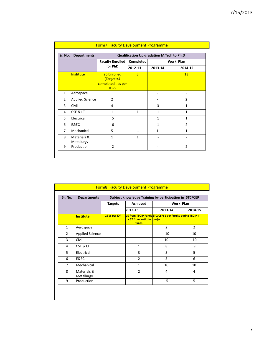| Sr. No.        | <b>Departments</b>        | Qualification Up-gradation M.Tech to Ph.D                |                |              |                |  |  |
|----------------|---------------------------|----------------------------------------------------------|----------------|--------------|----------------|--|--|
|                |                           | <b>Faculty Enrolled</b>                                  | Completed      |              | Work Plan      |  |  |
|                |                           | for PhD                                                  | 2012-13        | 2013-14      | 2014-15        |  |  |
|                | <b>Institute</b>          | 26 Enrolled<br>$Target = 4$<br>completed, as per<br>IDP) | $\overline{3}$ |              | 13             |  |  |
| $\mathbf{1}$   | Aerospace                 |                                                          |                |              |                |  |  |
| $\overline{2}$ | <b>Applied Science</b>    | $\overline{2}$                                           |                |              | $\overline{2}$ |  |  |
| 3              | Civil                     | 4                                                        |                | 3            | 1              |  |  |
| 4              | <b>CSE &amp; I.T</b>      | $\mathbf{1}$                                             | $\mathbf{1}$   | $\mathbf{1}$ | $\mathbf{1}$   |  |  |
| 5              | Electrical                | 5                                                        |                | $\mathbf{1}$ | $\mathbf{1}$   |  |  |
| 6              | <b>E&amp;EC</b>           | 6                                                        |                | $\mathbf{1}$ | $\overline{2}$ |  |  |
| $\overline{7}$ | Mechanical                | 5                                                        | $\mathbf{1}$   | $\mathbf{1}$ | $\mathbf{1}$   |  |  |
| 8              | Materials &<br>Metallurgy | $\mathbf{1}$                                             | $\mathbf{1}$   |              |                |  |  |
| 9              | Production                | $\overline{2}$                                           |                |              | $\overline{2}$ |  |  |

| Form8: Faculty Development Programme |                           |                |                                                        |                                                            |                |  |  |  |  |
|--------------------------------------|---------------------------|----------------|--------------------------------------------------------|------------------------------------------------------------|----------------|--|--|--|--|
| Sr. No.                              | <b>Departments</b>        |                | Subject knowledge Training by participation in STC/CEP |                                                            |                |  |  |  |  |
|                                      |                           | <b>Targets</b> | <b>Achieved</b><br><b>Work Plan</b>                    |                                                            |                |  |  |  |  |
|                                      |                           |                | 2012-13                                                | 2013-14                                                    | 2014-15        |  |  |  |  |
|                                      | <b>Institute</b>          | 25 as per IDP  | +37 from institute project<br>funds                    | 10 from TEQIP Funds STC/CEP: 1 per faculty during TEQIP-II |                |  |  |  |  |
| $\mathbf{1}$                         | Aerospace                 |                |                                                        | $\overline{2}$                                             | $\overline{2}$ |  |  |  |  |
| $\overline{2}$                       | <b>Applied Science</b>    |                |                                                        | 10                                                         | 10             |  |  |  |  |
| 3                                    | Civil                     |                |                                                        | 10                                                         | 10             |  |  |  |  |
| 4                                    | CSE & I.T                 |                | $\mathbf{1}$                                           | 8                                                          | 9              |  |  |  |  |
| 5                                    | Electrical                |                | 3                                                      | 5                                                          | 5              |  |  |  |  |
| 6                                    | E&EC                      |                | $\overline{2}$                                         | 5                                                          | 6              |  |  |  |  |
| 7                                    | Mechanical                |                | $\mathbf{1}$                                           | 10                                                         | 10             |  |  |  |  |
| 8                                    | Materials &<br>Metallurgy |                | $\overline{2}$                                         | 4                                                          | 4              |  |  |  |  |
| 9                                    | Production                |                | $\mathbf{1}$                                           | 5                                                          | 5              |  |  |  |  |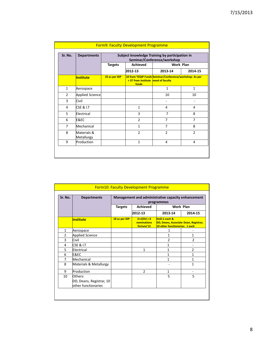| Sr. No.        | <b>Departments</b>        |                | Subject knowledge Training by participation in<br>Seminar/Conference/workshop |                                                         |                |  |  |
|----------------|---------------------------|----------------|-------------------------------------------------------------------------------|---------------------------------------------------------|----------------|--|--|
|                |                           | <b>Targets</b> | <b>Achieved</b>                                                               | Work Plan                                               |                |  |  |
|                |                           |                | 2012-13                                                                       | 2013-14                                                 | 2014-15        |  |  |
|                | <b>Institute</b>          | 25 as per IDP  | +37 from institute need of faculty<br>funds                                   | 10 from TEQIP Funds Seminar/Conference/workshop: As per |                |  |  |
| $\mathbf{1}$   | Aerospace                 |                |                                                                               | $\mathbf{1}$                                            | $\mathbf{1}$   |  |  |
| $\overline{2}$ | <b>Applied Science</b>    |                |                                                                               | 10                                                      | 10             |  |  |
| 3              | Civil                     |                |                                                                               |                                                         |                |  |  |
| 4              | CSE & I.T                 |                | $\mathbf{1}$                                                                  | 4                                                       | 4              |  |  |
| 5              | Electrical                |                | 3                                                                             | $\overline{7}$                                          | 8              |  |  |
| 6              | E&EC                      |                | $\mathcal{P}$                                                                 | 7                                                       | $\overline{7}$ |  |  |
| $\overline{7}$ | Mechanical                |                | $\mathbf{1}$                                                                  | $\overline{7}$                                          | 8              |  |  |
| 8              | Materials &<br>Metallurgy |                | $\mathfrak{p}$                                                                | $\mathfrak{p}$                                          | $\mathfrak{p}$ |  |  |
| 9              | Production                |                | $\mathbf{1}$                                                                  | 4                                                       | 4              |  |  |

| Sr. No. | <b>Departments</b>                                         | Management and administrative capacity enhancement<br>programmes |                                            |                                                                                         |                   |  |
|---------|------------------------------------------------------------|------------------------------------------------------------------|--------------------------------------------|-----------------------------------------------------------------------------------------|-------------------|--|
|         |                                                            | <b>Targets</b>                                                   | <b>Achieved</b>                            |                                                                                         | <b>Work Plan</b>  |  |
|         |                                                            |                                                                  | 2012-13                                    | 2013-14                                                                                 | 2014-15           |  |
|         | <b>Institute</b>                                           | 18 as per IDP                                                    | $3+1(Dir) +3$<br>nominations<br>forJune'13 | HoD:1 each &<br>DD, Deans, Associate Dean, Registrar,<br>10 other functionaries: 1 each |                   |  |
| 1       | Aerospace                                                  |                                                                  |                                            | 1                                                                                       |                   |  |
| 2       | <b>Applied Science</b>                                     |                                                                  |                                            | 1                                                                                       | 1                 |  |
| 3       | Civil                                                      |                                                                  |                                            | $\overline{2}$                                                                          | $\overline{2}$    |  |
| 4       | <b>CSE &amp; I.T</b>                                       |                                                                  |                                            | 1                                                                                       |                   |  |
| 5       | Electrical                                                 |                                                                  | 1                                          | 1                                                                                       | $\overline{2}$    |  |
| 6       | E&EC                                                       |                                                                  |                                            | 1                                                                                       | 1                 |  |
| 7       | Mechanical                                                 |                                                                  |                                            | 1                                                                                       | 1                 |  |
| 8       | Materials & Metallurgy                                     |                                                                  |                                            |                                                                                         | 1                 |  |
| 9       | Production                                                 |                                                                  | $\overline{2}$                             | $\mathbf{1}$                                                                            | $\qquad \qquad -$ |  |
| 10      | Others:<br>DD, Deans, Registrar, 10<br>other functionaries |                                                                  |                                            | 5                                                                                       | 5                 |  |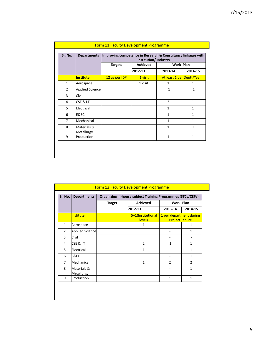| Sr. No.        | <b>Departments</b>        | Improving competence in Research & Consultancy linkages with<br>Institution/Industry |                 |                   |                           |  |  |  |
|----------------|---------------------------|--------------------------------------------------------------------------------------|-----------------|-------------------|---------------------------|--|--|--|
|                |                           | <b>Targets</b>                                                                       | <b>Achieved</b> | <b>Work Plan</b>  |                           |  |  |  |
|                |                           |                                                                                      | 2012-13         | 2013-14           | 2014-15                   |  |  |  |
|                | <b>Institute</b>          | 12 as per IDP                                                                        | 1 visit         |                   | At least 1 per Deptt/Year |  |  |  |
| $\mathbf{1}$   | Aerospace                 |                                                                                      | 1 visit         | $\mathbf{1}$      | 1                         |  |  |  |
| $\overline{2}$ | <b>Applied Science</b>    |                                                                                      |                 | $\mathbf{1}$      | $\mathbf{1}$              |  |  |  |
| 3              | Civil                     |                                                                                      |                 | $\qquad \qquad -$ |                           |  |  |  |
| 4              | <b>CSE &amp; I.T</b>      |                                                                                      |                 | $\overline{2}$    | $\mathbf{1}$              |  |  |  |
| 5              | Electrical                |                                                                                      |                 | $\mathbf{1}$      | 1                         |  |  |  |
| 6              | E&EC                      |                                                                                      |                 | $\mathbf{1}$      | $\mathbf{1}$              |  |  |  |
| $\overline{7}$ | Mechanical                |                                                                                      |                 | $\mathbf{1}$      | $\mathbf{1}$              |  |  |  |
| 8              | Materials &<br>Metallurgy |                                                                                      |                 | $\mathbf{1}$      | $\mathbf{1}$              |  |  |  |
| 9              | Production                |                                                                                      |                 | $\mathbf{1}$      | $\mathbf{1}$              |  |  |  |

| Sr. No.        | <b>Departments</b>        |               | <b>Organizing in-house subject Training Programmes (STCs/CEPs)</b> |                                                  |                |
|----------------|---------------------------|---------------|--------------------------------------------------------------------|--------------------------------------------------|----------------|
|                |                           | <b>Target</b> | <b>Achieved</b>                                                    | Work Plan                                        |                |
|                |                           |               | 2012-13                                                            | 2013-14                                          | 2014-15        |
|                | Institute                 |               | 5+1(Institutional<br>level)                                        | 1 per department during<br><b>Project Tenure</b> |                |
| $\mathbf{1}$   | Aerospace                 |               | 1                                                                  |                                                  | 1              |
| $\overline{2}$ | <b>Applied Science</b>    |               |                                                                    |                                                  | 1              |
| 3              | Civil                     |               |                                                                    |                                                  |                |
| 4              | <b>CSE &amp; I.T</b>      |               | $\overline{2}$                                                     | 1                                                | $\mathbf{1}$   |
| 5              | Electrical                |               | 1                                                                  | 1                                                | 1              |
| 6              | E&EC                      |               |                                                                    |                                                  | 1              |
| 7              | Mechanical                |               | $\mathbf{1}$                                                       | $\mathfrak{p}$                                   | $\overline{2}$ |
| 8              | Materials &<br>Metallurgy |               |                                                                    |                                                  | $\mathbf{1}$   |
| 9              | Production                |               |                                                                    | $\mathbf{1}$                                     | $\mathbf{1}$   |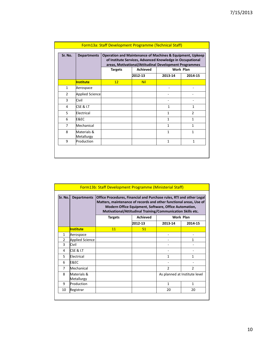| Sr. No.        | <b>Departments</b>        |                | <b>Operation and Maintenance of Machines &amp; Equipment, Upkeep</b><br>of Institute Services, Advanced Knowledge in Occupational<br>areas, Motivational/Attitudinal Development Programmes |              |                      |
|----------------|---------------------------|----------------|---------------------------------------------------------------------------------------------------------------------------------------------------------------------------------------------|--------------|----------------------|
|                |                           | <b>Targets</b> | <b>Achieved</b><br>2012-13                                                                                                                                                                  | 2013-14      | Work Plan<br>2014-15 |
|                | <b>Institute</b>          | 12             | <b>Nil</b>                                                                                                                                                                                  |              |                      |
| $\mathbf{1}$   | Aerospace                 |                |                                                                                                                                                                                             |              |                      |
| $\overline{2}$ | <b>Applied Science</b>    |                |                                                                                                                                                                                             |              |                      |
| 3              | Civil                     |                |                                                                                                                                                                                             |              |                      |
| 4              | <b>CSE &amp; I.T</b>      |                |                                                                                                                                                                                             | $\mathbf{1}$ | $\mathbf{1}$         |
| 5              | Electrical                |                |                                                                                                                                                                                             | $\mathbf{1}$ | $\mathfrak{p}$       |
| 6              | E&EC                      |                |                                                                                                                                                                                             | $\mathbf{1}$ | $\mathbf{1}$         |
| 7              | Mechanical                |                |                                                                                                                                                                                             | $\mathbf{1}$ | $\mathbf{1}$         |
| 8              | Materials &<br>Metallurgy |                |                                                                                                                                                                                             | $\mathbf{1}$ | $\mathbf{1}$         |
| 9              | Production                |                |                                                                                                                                                                                             | $\mathbf{1}$ | $\mathbf{1}$         |

| <b>Form13b: Staff Development Programme (Ministerial Staff)</b><br>Office Procedures, Financial and Purchase rules, RTI and other Legal |                           |                |          |                                                                                                                                                                                                   |                |  |  |  |
|-----------------------------------------------------------------------------------------------------------------------------------------|---------------------------|----------------|----------|---------------------------------------------------------------------------------------------------------------------------------------------------------------------------------------------------|----------------|--|--|--|
| Sr. No.                                                                                                                                 | <b>Departments</b>        |                |          | Matters, maintenance of records and other functional areas, Use of<br><b>Modern Office Equipment, Software, Office Automation,</b><br>Motivational/Attitudinal Training/Communication Skills etc. |                |  |  |  |
|                                                                                                                                         |                           | <b>Targets</b> | Achieved | <b>Work Plan</b>                                                                                                                                                                                  |                |  |  |  |
|                                                                                                                                         |                           |                | 2012-13  | 2013-14                                                                                                                                                                                           | 2014-15        |  |  |  |
|                                                                                                                                         | <b>Institute</b>          | 11             | 51       |                                                                                                                                                                                                   |                |  |  |  |
| $\mathbf{1}$                                                                                                                            | Aerospace                 |                |          |                                                                                                                                                                                                   |                |  |  |  |
| $\overline{2}$                                                                                                                          | <b>Applied Science</b>    |                |          |                                                                                                                                                                                                   | 1              |  |  |  |
| 3                                                                                                                                       | Civil                     |                |          |                                                                                                                                                                                                   |                |  |  |  |
| 4                                                                                                                                       | <b>CSE &amp; I.T</b>      |                |          |                                                                                                                                                                                                   |                |  |  |  |
| 5                                                                                                                                       | Electrical                |                |          | 1                                                                                                                                                                                                 | 1              |  |  |  |
| 6                                                                                                                                       | E&EC                      |                |          |                                                                                                                                                                                                   |                |  |  |  |
| 7                                                                                                                                       | Mechanical                |                |          | $\mathfrak{p}$                                                                                                                                                                                    | $\mathfrak{p}$ |  |  |  |
| 8                                                                                                                                       | Materials &<br>Metallurgy |                |          | As planned at Institute level                                                                                                                                                                     |                |  |  |  |
| 9                                                                                                                                       | Production                |                |          | 1                                                                                                                                                                                                 | 1              |  |  |  |
| 10                                                                                                                                      | Registrar                 |                |          | 20                                                                                                                                                                                                | 20             |  |  |  |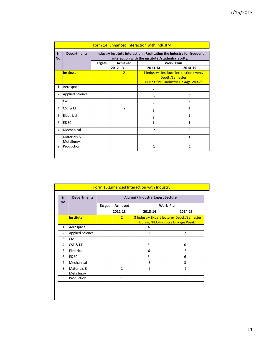| Sr.<br>No.     | <b>Departments</b>        | Industry Institute interaction : Facilitating the industry for frequent<br>interaction with the institute /students/faculty. |                 |                |                                                                                                   |  |  |
|----------------|---------------------------|------------------------------------------------------------------------------------------------------------------------------|-----------------|----------------|---------------------------------------------------------------------------------------------------|--|--|
|                |                           | <b>Targets</b>                                                                                                               | <b>Achieved</b> |                | <b>Work Plan</b>                                                                                  |  |  |
|                |                           |                                                                                                                              | 2012-13         | 2013-14        | 2014-15                                                                                           |  |  |
|                | <b>Institute</b>          |                                                                                                                              | $\overline{2}$  |                | 1 Industry- Institute interaction event/<br>Deptt./Semester<br>During "PEC-Industry Linkage Weak" |  |  |
| 1              | Aerospace                 |                                                                                                                              |                 |                |                                                                                                   |  |  |
| $\overline{2}$ | <b>Applied Science</b>    |                                                                                                                              |                 |                |                                                                                                   |  |  |
| 3              | Civil                     |                                                                                                                              |                 |                |                                                                                                   |  |  |
| 4              | <b>CSE &amp; I.T</b>      |                                                                                                                              | $\overline{2}$  | 1              | 1                                                                                                 |  |  |
| 5              | Electrical                |                                                                                                                              |                 | 1              | $\mathbf{1}$                                                                                      |  |  |
| 6              | E&EC                      |                                                                                                                              |                 | 1              | $\mathbf{1}$                                                                                      |  |  |
| 7              | Mechanical                |                                                                                                                              |                 | $\overline{2}$ | $\mathfrak{p}$                                                                                    |  |  |
| 8              | Materials &<br>Metallurgy |                                                                                                                              |                 | $\mathbf{1}$   | $\mathbf{1}$                                                                                      |  |  |
| 9              | Production                |                                                                                                                              |                 | $\mathbf{1}$   | $\mathbf{1}$                                                                                      |  |  |

| Sr.<br>No.     | <b>Departments</b>        |               | Alumni / Industry Expert Lecture |                |                                                                                  |  |  |
|----------------|---------------------------|---------------|----------------------------------|----------------|----------------------------------------------------------------------------------|--|--|
|                |                           | <b>Target</b> | <b>Achieved</b>                  |                | Work Plan                                                                        |  |  |
|                |                           |               | 2012-13                          | 2013-14        | 2014-15                                                                          |  |  |
|                | <b>Institute</b>          |               | $\overline{2}$                   |                | 3 Industry Expert lecture/ Deptt./Semester<br>During "PEC-Industry Linkage Weak" |  |  |
| 1              | Aerospace                 |               |                                  | 6              | 6                                                                                |  |  |
| $\overline{2}$ | <b>Applied Science</b>    |               |                                  | $\overline{2}$ | $\overline{2}$                                                                   |  |  |
| 3              | Civil                     |               |                                  |                |                                                                                  |  |  |
| 4              | <b>CSE &amp; I.T</b>      |               |                                  | 5              | 6                                                                                |  |  |
| 5              | Electrical                |               |                                  | 6              | 6                                                                                |  |  |
| 6              | E&EC                      |               |                                  | 6              | 6                                                                                |  |  |
| $\overline{7}$ | Mechanical                |               |                                  | 3              | 3                                                                                |  |  |
| 8              | Materials &<br>Metallurgy |               | $\mathbf{1}$                     | 6              | 6                                                                                |  |  |
| 9              | Production                |               | $\mathbf{1}$                     | 6              | 6                                                                                |  |  |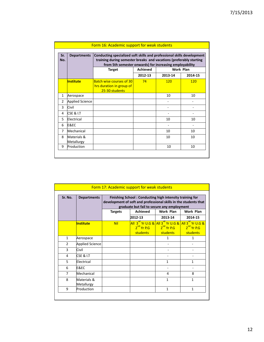| Sr.<br>No.     | <b>Departments</b>        |                                                                               | Conducting specialized soft skills and professional skills development<br>training during semester breaks and vacations (preferably starting<br>from 5th semester onwards) for increasing employability |           |         |  |  |
|----------------|---------------------------|-------------------------------------------------------------------------------|---------------------------------------------------------------------------------------------------------------------------------------------------------------------------------------------------------|-----------|---------|--|--|
|                |                           | <b>Target</b>                                                                 | <b>Achieved</b>                                                                                                                                                                                         | Work Plan |         |  |  |
|                |                           |                                                                               | 2012-13                                                                                                                                                                                                 | 2013-14   | 2014-15 |  |  |
|                | Institute                 | <b>Batch wise courses of 30</b><br>hrs duration in group of<br>25-30 students | 74                                                                                                                                                                                                      | 120       | 120     |  |  |
| $\mathbf{1}$   | Aerospace                 |                                                                               |                                                                                                                                                                                                         | 10        | 10      |  |  |
| $\overline{2}$ | Applied Science           |                                                                               |                                                                                                                                                                                                         |           |         |  |  |
| 3              | Civil                     |                                                                               |                                                                                                                                                                                                         |           |         |  |  |
| 4              | CSE & I.T                 |                                                                               |                                                                                                                                                                                                         |           |         |  |  |
| 5              | Electrical                |                                                                               |                                                                                                                                                                                                         | 10        | 10      |  |  |
| 6              | E&EC                      |                                                                               |                                                                                                                                                                                                         |           |         |  |  |
| 7              | Mechanical                |                                                                               |                                                                                                                                                                                                         | 10        | 10      |  |  |
| 8              | Materials &<br>Metallurgy |                                                                               |                                                                                                                                                                                                         | 10        | 10      |  |  |
| 9              | Production                |                                                                               |                                                                                                                                                                                                         | 10        | 10      |  |  |

|                | Form 17: Academic support for weak students |                                                                                                                                                                            |                                      |                          |                                                                                                                              |  |  |                  |
|----------------|---------------------------------------------|----------------------------------------------------------------------------------------------------------------------------------------------------------------------------|--------------------------------------|--------------------------|------------------------------------------------------------------------------------------------------------------------------|--|--|------------------|
| Sr. No.        | <b>Departments</b>                          | Finishing School: Conducting high intensity training for<br>development of soft and professional skills in the students that<br>graduate but fail to secure any employment |                                      |                          |                                                                                                                              |  |  |                  |
|                |                                             | <b>Achieved</b><br>Work Plan<br><b>Targets</b>                                                                                                                             |                                      |                          |                                                                                                                              |  |  | <b>Work Plan</b> |
|                |                                             |                                                                                                                                                                            | 2012-13                              | 2013-14                  | 2014-15                                                                                                                      |  |  |                  |
|                | <b>Institute</b>                            | <b>Nil</b>                                                                                                                                                                 | $2^{nd}$ Yr P.G $\qquad$<br>students | $2nd$ Yr P.G<br>students | All 3 <sup>ro</sup> Yr U.G & All 3 <sup>ro</sup> Yr U.G & All 3 <sup>ro</sup> Yr U.G &<br>2 <sup>nd</sup> Yr P.G<br>students |  |  |                  |
| $\mathbf{1}$   | Aerospace                                   |                                                                                                                                                                            |                                      | $\mathbf{1}$             | $\mathbf{1}$                                                                                                                 |  |  |                  |
| $\overline{2}$ | <b>Applied Science</b>                      |                                                                                                                                                                            |                                      |                          |                                                                                                                              |  |  |                  |
| 3              | Civil                                       |                                                                                                                                                                            |                                      |                          |                                                                                                                              |  |  |                  |
| 4              | CSE & I.T                                   |                                                                                                                                                                            |                                      |                          |                                                                                                                              |  |  |                  |
| 5              | Electrical                                  |                                                                                                                                                                            |                                      | $\mathbf{1}$             | $\mathbf{1}$                                                                                                                 |  |  |                  |
| 6              | E&EC                                        |                                                                                                                                                                            |                                      |                          |                                                                                                                              |  |  |                  |
| 7              | Mechanical                                  |                                                                                                                                                                            |                                      | 4                        | 8                                                                                                                            |  |  |                  |
| 8              | Materials &<br>Metallurgy                   |                                                                                                                                                                            |                                      | $\mathbf{1}$             | 1                                                                                                                            |  |  |                  |
| 9              | Production                                  |                                                                                                                                                                            |                                      | $\mathbf{1}$             | $\mathbf{1}$                                                                                                                 |  |  |                  |
|                |                                             |                                                                                                                                                                            |                                      |                          |                                                                                                                              |  |  |                  |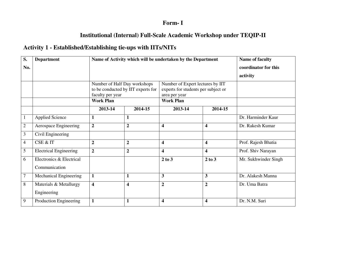## **Form- I**

## **Institutional (Internal) Full-Scale Academic Workshop under TEQIP-II**

## **Activity 1 - Established/Establishing tie-ups with IITs/NITs**

| S.             | <b>Department</b>             |                                                  | Name of Activity which will be undertaken by the Department | <b>Name of faculty</b>                                                                   |                         |                      |
|----------------|-------------------------------|--------------------------------------------------|-------------------------------------------------------------|------------------------------------------------------------------------------------------|-------------------------|----------------------|
| No.            |                               |                                                  |                                                             | coordinator for this                                                                     |                         |                      |
|                |                               |                                                  |                                                             |                                                                                          |                         | activity             |
|                |                               | Number of Half Day workshops<br>faculty per year | to be conducted by IIT experts for                          | Number of Expert lectures by IIT<br>experts for students per subject or<br>area per year |                         |                      |
|                |                               | <b>Work Plan</b>                                 |                                                             | <b>Work Plan</b>                                                                         |                         |                      |
|                |                               | 2013-14                                          | 2014-15                                                     | 2013-14                                                                                  | 2014-15                 |                      |
|                | <b>Applied Science</b>        | 1                                                | $\mathbf{1}$                                                |                                                                                          |                         | Dr. Harminder Kaur   |
| $\overline{2}$ | Aerospace Engineering         | $\overline{2}$                                   | $\overline{2}$                                              | $\overline{\mathbf{4}}$                                                                  | $\overline{\mathbf{4}}$ | Dr. Rakesh Kumar     |
| 3              | Civil Engineering             |                                                  |                                                             |                                                                                          |                         |                      |
| $\overline{4}$ | CSE & IT                      | $\overline{2}$                                   | $\overline{2}$                                              | $\overline{\mathbf{4}}$                                                                  | $\overline{\mathbf{4}}$ | Prof. Rajesh Bhatia  |
| 5              | <b>Electrical Engineering</b> | $\overline{2}$                                   | $\overline{2}$                                              | $\overline{\mathbf{4}}$                                                                  | $\overline{\mathbf{4}}$ | Prof. Shiv Narayan   |
| 6              | Electronics & Electrical      |                                                  |                                                             | 2 to 3                                                                                   | 2 to 3                  | Mr. Sukhwinder Singh |
|                | Communication                 |                                                  |                                                             |                                                                                          |                         |                      |
| 7              | Mechanical Engineering        | $\mathbf{1}$                                     | $\mathbf{1}$                                                | $\mathbf{3}$                                                                             | 3                       | Dr. Alakesh Manna    |
| 8              | Materials & Metallurgy        | $\overline{\mathbf{4}}$                          | $\overline{\mathbf{4}}$                                     | $\overline{2}$                                                                           | $\overline{2}$          | Dr. Uma Batra        |
|                | Engineering                   |                                                  |                                                             |                                                                                          |                         |                      |
| 9              | Production Engineering        | $\mathbf{1}$                                     | $\mathbf{1}$                                                | $\overline{\mathbf{4}}$                                                                  | $\overline{\mathbf{4}}$ | Dr. N.M. Suri        |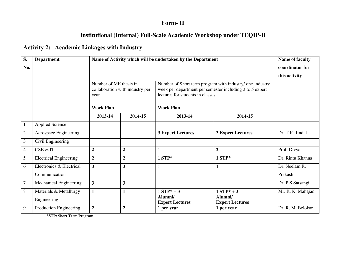#### **Form- II**

## **Institutional (Internal) Full-Scale Academic Workshop under TEQIP-II**

## **Activity 2: Academic Linkages with Industry**

| S.             | <b>Department</b>             | Name of Activity which will be undertaken by the Department       |                  |                                                                                                                                                          |                                   | Name of faculty   |  |
|----------------|-------------------------------|-------------------------------------------------------------------|------------------|----------------------------------------------------------------------------------------------------------------------------------------------------------|-----------------------------------|-------------------|--|
| No.            |                               |                                                                   | coordinator for  |                                                                                                                                                          |                                   |                   |  |
|                |                               |                                                                   |                  |                                                                                                                                                          |                                   |                   |  |
|                |                               | Number of ME thesis in<br>collaboration with industry per<br>year |                  | Number of Short term program with industry/ one Industry<br>week per department per semester including 3 to 5 expert<br>lectures for students in classes |                                   |                   |  |
|                |                               | <b>Work Plan</b>                                                  |                  | <b>Work Plan</b>                                                                                                                                         |                                   |                   |  |
|                |                               | 2013-14                                                           | 2014-15          | 2013-14                                                                                                                                                  | 2014-15                           |                   |  |
|                | <b>Applied Science</b>        |                                                                   |                  |                                                                                                                                                          |                                   |                   |  |
| $\overline{c}$ | Aerospace Engineering         |                                                                   |                  | <b>3 Expert Lectures</b>                                                                                                                                 | <b>3 Expert Lectures</b>          | Dr. T.K. Jindal   |  |
| 3              | Civil Engineering             |                                                                   |                  |                                                                                                                                                          |                                   |                   |  |
| $\overline{4}$ | CSE & IT                      | $\boldsymbol{2}$                                                  | $\boldsymbol{2}$ | 1                                                                                                                                                        | $\overline{2}$                    | Prof. Divya       |  |
| 5              | <b>Electrical Engineering</b> | $\overline{2}$                                                    | $\boldsymbol{2}$ | $1 STP*$                                                                                                                                                 | $1 STP*$                          | Dr. Rintu Khanna  |  |
| 6              | Electronics & Electrical      | 3                                                                 | 3                | 1                                                                                                                                                        | $\mathbf{1}$                      | Dr. Neelam R.     |  |
|                | Communication                 |                                                                   |                  |                                                                                                                                                          |                                   | Prakash           |  |
| 7              | <b>Mechanical Engineering</b> | 3                                                                 | $\mathbf{3}$     |                                                                                                                                                          |                                   | Dr. P.S Satsangi  |  |
| 8              | Materials & Metallurgy        | $\mathbf{1}$                                                      | $\mathbf{1}$     | $1 STP* + 3$                                                                                                                                             | $1 STP* + 3$                      | Mr. R. K. Mahajan |  |
|                | Engineering                   |                                                                   |                  | Alumni/<br><b>Expert Lectures</b>                                                                                                                        | Alumni/<br><b>Expert Lectures</b> |                   |  |
| 9              | Production Engineering        | $\overline{2}$                                                    | $\overline{2}$   | 1 per year                                                                                                                                               | 1 per year                        | Dr. R. M. Belokar |  |

**\*STP: Short Term Program**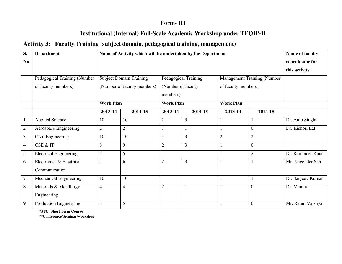#### **Form- III**

### **Institutional (Internal) Full-Scale Academic Workshop under TEQIP-II**

#### **Activity 3: Faculty Training (subject domain, pedagogical training, management)**

| S.               | <b>Department</b>             | Name of Activity which will be undertaken by the Department |                                |                      |              |                                    | Name of faculty |                   |
|------------------|-------------------------------|-------------------------------------------------------------|--------------------------------|----------------------|--------------|------------------------------------|-----------------|-------------------|
| No.              |                               |                                                             |                                |                      |              |                                    | coordinator for |                   |
|                  |                               |                                                             |                                |                      |              |                                    |                 | this activity     |
|                  | Pedagogical Training (Number  |                                                             | <b>Subject Domain Training</b> | Pedagogical Training |              | <b>Management Training (Number</b> |                 |                   |
|                  | of faculty members)           | (Number of faculty members)                                 |                                | (Number of faculty   |              | of faculty members)                |                 |                   |
|                  |                               |                                                             |                                | members)             |              |                                    |                 |                   |
|                  |                               | <b>Work Plan</b>                                            |                                | <b>Work Plan</b>     |              | <b>Work Plan</b>                   |                 |                   |
|                  |                               | 2013-14                                                     | 2014-15                        | 2013-14              | 2014-15      | 2013-14                            | 2014-15         |                   |
|                  | <b>Applied Science</b>        | 10                                                          | 10                             | $\overline{2}$       | 3            |                                    |                 | Dr. Anju Singla   |
| $\boldsymbol{2}$ | Aerospace Engineering         | $\overline{2}$                                              | $\overline{2}$                 |                      | $\mathbf{1}$ |                                    | $\overline{0}$  | Dr. Kishori Lal   |
| $\mathfrak{Z}$   | Civil Engineering             | 10                                                          | 10                             | $\overline{4}$       | 3            | $\overline{2}$                     | $\overline{2}$  |                   |
| $\overline{4}$   | CSE & IT                      | 8                                                           | 9                              | $\overline{2}$       | 3            |                                    | $\overline{0}$  |                   |
| 5                | <b>Electrical Engineering</b> | 5                                                           | 5                              |                      |              |                                    | $\overline{2}$  | Dr. Raminder Kaur |
| 6                | Electronics & Electrical      | 5                                                           | 6                              | $\overline{2}$       | 3            |                                    |                 | Mr. Nagender Sah  |
|                  | Communication                 |                                                             |                                |                      |              |                                    |                 |                   |
| $\overline{7}$   | Mechanical Engineering        | 10                                                          | 10                             |                      |              |                                    |                 | Dr. Sanjeev Kumar |
| 8                | Materials & Metallurgy        | $\overline{4}$                                              | $\overline{4}$                 | $\overline{2}$       |              |                                    | $\overline{0}$  | Dr. Mamta         |
|                  | Engineering                   |                                                             |                                |                      |              |                                    |                 |                   |
| 9                | Production Engineering        | 5                                                           | 5                              |                      |              |                                    | $\theta$        | Mr. Rahul Vaishya |

**\*STC: Short Term Course** 

**\*\*Conference/Seminar/workshop**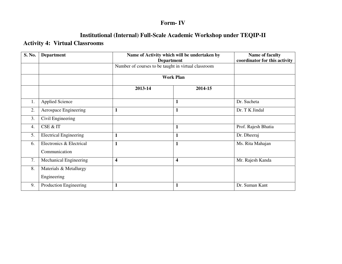# **Form- IV**

## **Institutional (Internal) Full-Scale Academic Workshop under TEQIP-II**

#### **Activity 4: Virtual Classrooms**

| S. No. | <b>Department</b>             | Name of Activity which will be undertaken by<br><b>Department</b> | Name of faculty<br>coordinator for this activity    |                     |  |
|--------|-------------------------------|-------------------------------------------------------------------|-----------------------------------------------------|---------------------|--|
|        |                               |                                                                   | Number of courses to be taught in virtual classroom |                     |  |
|        |                               |                                                                   | <b>Work Plan</b>                                    |                     |  |
|        |                               | 2013-14                                                           | 2014-15                                             |                     |  |
| 1.     | <b>Applied Science</b>        |                                                                   | 1                                                   | Dr. Sucheta         |  |
| 2.     | Aerospace Engineering         | 1                                                                 | $\mathbf{1}$                                        | Dr. T K Jindal      |  |
| 3.     | Civil Engineering             |                                                                   |                                                     |                     |  |
| 4.     | CSE & IT                      |                                                                   | $\mathbf{1}$                                        | Prof. Rajesh Bhatia |  |
| 5.     | <b>Electrical Engineering</b> | $\mathbf{1}$                                                      | $\mathbf{1}$                                        | Dr. Dheeraj         |  |
| 6.     | Electronics & Electrical      | $\mathbf{1}$                                                      | $\mathbf{1}$                                        | Ms. Rita Mahajan    |  |
|        | Communication                 |                                                                   |                                                     |                     |  |
| 7.     | <b>Mechanical Engineering</b> | 4                                                                 | $\overline{\mathbf{4}}$                             | Mr. Rajesh Kanda    |  |
| 8.     | Materials & Metallurgy        |                                                                   |                                                     |                     |  |
|        | Engineering                   |                                                                   |                                                     |                     |  |
| 9.     | Production Engineering        |                                                                   | $\mathbf{1}$                                        | Dr. Suman Kant      |  |